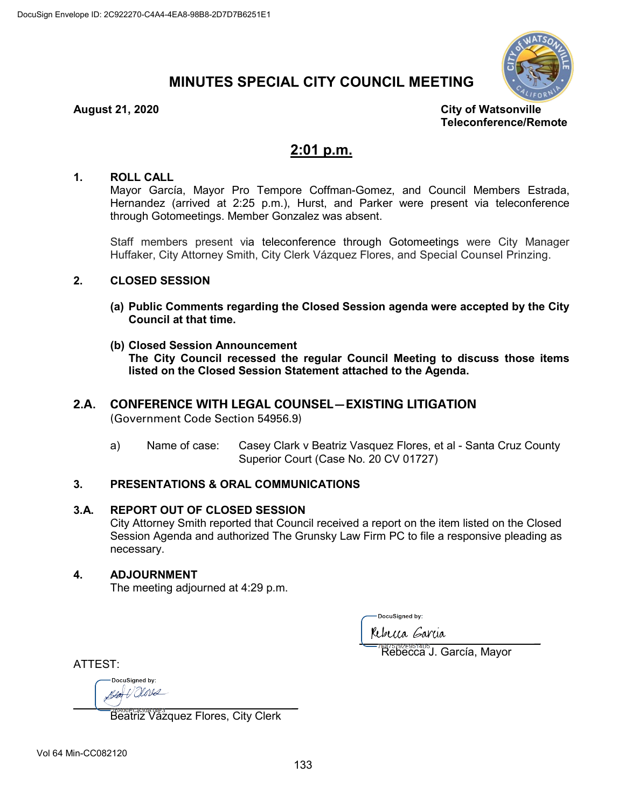# **MINUTES SPECIAL CITY COUNCIL MEETING**



**August 21, 2020 City of Watsonville Teleconference/Remote**

## **2:01 p.m.**

#### **1. ROLL CALL**

Mayor García, Mayor Pro Tempore Coffman-Gomez, and Council Members Estrada, Hernandez (arrived at 2:25 p.m.), Hurst, and Parker were present via teleconference through Gotomeetings. Member Gonzalez was absent.

Staff members present via teleconference through Gotomeetings were City Manager Huffaker, City Attorney Smith, City Clerk Vázquez Flores, and Special Counsel Prinzing.

#### **2. CLOSED SESSION**

- **(a) Public Comments regarding the Closed Session agenda were accepted by the City Council at that time.**
- **(b) Closed Session Announcement The City Council recessed the regular Council Meeting to discuss those items listed on the Closed Session Statement attached to the Agenda.**

## **2.A. CONFERENCE WITH LEGAL COUNSEL—EXISTING LITIGATION**

(Government Code Section 54956.9)

a) Name of case: Casey Clark v Beatriz Vasquez Flores, et al - Santa Cruz County Superior Court (Case No. 20 CV 01727)

### **3. PRESENTATIONS & ORAL COMMUNICATIONS**

#### **3.A. REPORT OUT OF CLOSED SESSION**

City Attorney Smith reported that Council received a report on the item listed on the Closed Session Agenda and authorized The Grunsky Law Firm PC to file a responsive pleading as necessary.

#### **4. ADJOURNMENT**

The meeting adjourned at 4:29 p.m.

DocuSianed by:

parameters

Rebecca J. García, Mayor

ATTEST:

DocuSianed by:  $\overline{\mathcal{L}}$ 

Beatriz Vázquez Flores, City Clerk